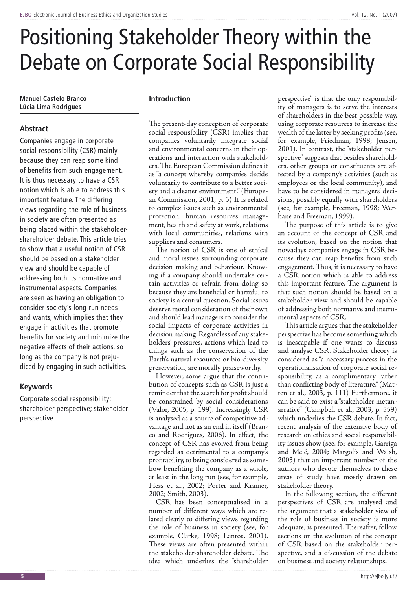# Positioning Stakeholder Theory within the Debate on Corporate Social Responsibility

**Manuel Castelo Branco Lúcia Lima Rodrigues**

# **Abstract**

Companies engage in corporate social responsibility (CSR) mainly because they can reap some kind of benefits from such engagement. It is thus necessary to have a CSR notion which is able to address this important feature. The differing views regarding the role of business in society are often presented as being placed within the stakeholdershareholder debate. This article tries to show that a useful notion of CSR should be based on a stakeholder view and should be capable of addressing both its normative and instrumental aspects. Companies are seen as having an obligation to consider society's long-run needs and wants, which implies that they engage in activities that promote benefits for society and minimize the negative effects of their actions, so long as the company is not prejudiced by engaging in such activities.

## **Keywords**

Corporate social responsibility; shareholder perspective; stakeholder perspective

### **Introduction**

The present-day conception of corporate social responsibility (CSR) implies that companies voluntarily integrate social and environmental concerns in their operations and interaction with stakeholders. The European Commission defines it as "a concept whereby companies decide voluntarily to contribute to a better society and a cleaner environment." (European Commission, 2001, p. 5) It is related to complex issues such as environmental protection, human resources management, health and safety at work, relations with local communities, relations with suppliers and consumers.

The notion of CSR is one of ethical and moral issues surrounding corporate decision making and behaviour. Knowing if a company should undertake certain activities or refrain from doing so because they are beneficial or harmful to society is a central question. Social issues deserve moral consideration of their own and should lead managers to consider the social impacts of corporate activities in decision making. Regardless of any stakeholders' pressures, actions which lead to things such as the conservation of the Earth's natural resources or bio-diversity preservation, are morally praiseworthy.

However, some argue that the contribution of concepts such as CSR is just a reminder that the search for profit should be constrained by social considerations (Valor, 2005, p. 199). Increasingly CSR is analysed as a source of competitive advantage and not as an end in itself (Branco and Rodrigues, 2006). In effect, the concept of CSR has evolved from being regarded as detrimental to a company's profitability, to being considered as somehow benefiting the company as a whole, at least in the long run (see, for example, Hess et al., 2002; Porter and Kramer, 2002; Smith, 2003).

CSR has been conceptualised in a number of different ways which are related clearly to differing views regarding the role of business in society (see, for example, Clarke, 1998; Lantos, 2001). These views are often presented within the stakeholder-shareholder debate. The idea which underlies the "shareholder

perspective" is that the only responsibility of managers is to serve the interests of shareholders in the best possible way, using corporate resources to increase the wealth of the latter by seeking profits (see, for example, Friedman, 1998; Jensen, 2001). In contrast, the "stakeholder perspective" suggests that besides shareholders, other groups or constituents are affected by a company's activities (such as employees or the local community), and have to be considered in managers' decisions, possibly equally with shareholders (see, for example, Freeman, 1998; Werhane and Freeman, 1999).

The purpose of this article is to give an account of the concept of CSR and its evolution, based on the notion that nowadays companies engage in CSR because they can reap benefits from such engagement. Thus, it is necessary to have a CSR notion which is able to address this important feature. The argument is that such notion should be based on a stakeholder view and should be capable of addressing both normative and instrumental aspects of CSR.

This article argues that the stakeholder perspective has become something which is inescapable if one wants to discuss and analyse CSR. Stakeholder theory is considered as "a necessary process in the operationalisation of corporate social responsibility, as a complimentary rather than conflicting body of literature." (Matten et al., 2003, p. 111) Furthermore, it can be said to exist a "stakeholder metanarrative" (Campbell et al., 2003, p. 559) which underlies the CSR debate. In fact, recent analysis of the extensive body of research on ethics and social responsibility issues show (see, for example, Garriga and Melé, 2004; Margolis and Walsh, 2003) that an important number of the authors who devote themselves to these areas of study have mostly drawn on stakeholder theory.

In the following section, the different perspectives of CSR are analysed and the argument that a stakeholder view of the role of business in society is more adequate, is presented. Thereafter, follow sections on the evolution of the concept of CSR based on the stakeholder perspective, and a discussion of the debate on business and society relationships.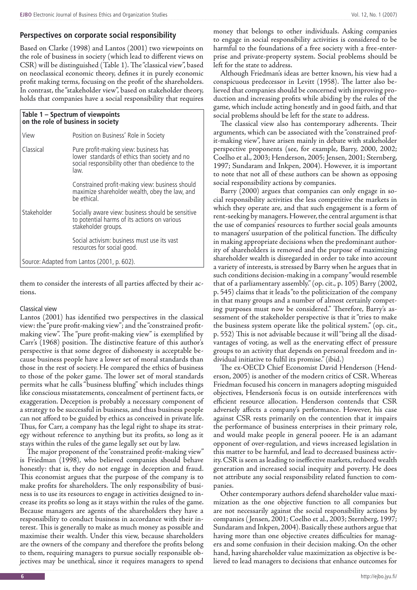Based on Clarke (1998) and Lantos (2001) two viewpoints on the role of business in society (which lead to different views on CSR) will be distinguished (Table 1). The "classical view", based on neoclassical economic theory, defines it in purely economic profit making terms, focusing on the profit of the shareholders. In contrast, the "stakeholder view", based on stakeholder theory, holds that companies have a social responsibility that requires

# **Table 1 – Spectrum of viewpoints on the role of business in society** View Position on Business' Role in Society Classical Pure profit-making view: business has lower standards of ethics than society and no social responsibility other than obedience to the law. Constrained profit-making view: business should maximize shareholder wealth, obey the law, and be ethical. Stakeholder Socially aware view: business should be sensitive to potential harms of its actions on various stakeholder groups. Social activism: business must use its vast resources for social good. Source: Adapted from Lantos (2001, p. 602).

them to consider the interests of all parties affected by their actions.

#### Classical view

Lantos (2001) has identified two perspectives in the classical view: the "pure profit-making view"; and the "constrained profitmaking view". The "pure profit-making view" is exemplified by Carr's (1968) position. The distinctive feature of this author's perspective is that some degree of dishonesty is acceptable because business people have a lower set of moral standards than those in the rest of society. He compared the ethics of business to those of the poker game. The lower set of moral standards permits what he calls "business bluffing" which includes things like conscious misstatements, concealment of pertinent facts, or exaggeration. Deception is probably a necessary component of a strategy to be successful in business, and thus business people can not afford to be guided by ethics as conceived in private life. Thus, for Carr, a company has the legal right to shape its strategy without reference to anything but its profits, so long as it stays within the rules of the game legally set out by law.

The major proponent of the "constrained profit-making view" is Friedman (1998), who believed companies should behave honestly: that is, they do not engage in deception and fraud. This economist argues that the purpose of the company is to make profits for shareholders. The only responsibility of business is to use its resources to engage in activities designed to increase its profits so long as it stays within the rules of the game. Because managers are agents of the shareholders they have a responsibility to conduct business in accordance with their interest. This is generally to make as much money as possible and maximise their wealth. Under this view, because shareholders are the owners of the company and therefore the profits belong to them, requiring managers to pursue socially responsible objectives may be unethical, since it requires managers to spend

money that belongs to other individuals. Asking companies to engage in social responsibility activities is considered to be harmful to the foundations of a free society with a free-enterprise and private-property system. Social problems should be left for the state to address.

Although Friedman's ideas are better known, his view had a conspicuous predecessor in Levitt (1958). The latter also believed that companies should be concerned with improving production and increasing profits while abiding by the rules of the game, which include acting honestly and in good faith, and that social problems should be left for the state to address.

The classical view also has contemporary adherents. Their arguments, which can be associated with the "constrained profit-making view", have arisen mainly in debate with stakeholder perspective proponents (see, for example, Barry, 2000, 2002; Coelho et al., 2003; Henderson, 2005; Jensen, 2001; Sternberg, 1997; Sundaram and Inkpen, 2004). However, it is important to note that not all of these authors can be shown as opposing social responsibility actions by companies.

Barry (2000) argues that companies can only engage in social responsibility activities the less competitive the markets in which they operate are, and that such engagement is a form of rent-seeking by managers. However, the central argument is that the use of companies' resources to further social goals amounts to managers' usurpation of the political function. The difficulty in making appropriate decisions when the predominant authority of shareholders is removed and the purpose of maximizing shareholder wealth is disregarded in order to take into account a variety of interests, is stressed by Barry when he argues that in such conditions decision-making in a company "would resemble that of a parliamentary assembly." (op. cit., p. 105) Barry (2002, p. 545) claims that it leads "to the politicization of the company in that many groups and a number of almost certainly competing purposes must now be considered." Therefore, Barry's assessment of the stakeholder perspective is that it "tries to make the business system operate like the political system." (op. cit., p. 552) This is not advisable because it will "bring all the disadvantages of voting, as well as the enervating effect of pressure groups to an activity that depends on personal freedom and individual initiative to fulfil its promise." (ibid.)

The ex-OECD Chief Economist David Henderson (Henderson, 2005) is another of the modern critics of CSR. Whereas Friedman focused his concern in managers adopting misguided objectives, Henderson's focus is on outside interferences with efficient resource allocation. Henderson contends that CSR adversely affects a company's performance. However, his case against CSR rests primarily on the contention that it impairs the performance of business enterprises in their primary role, and would make people in general poorer. He is an adamant opponent of over-regulation, and views increased legislation in this matter to be harmful, and lead to decreased business activity. CSR is seen as leading to ineffective markets, reduced wealth generation and increased social inequity and poverty. He does not attribute any social responsibility related function to companies.

Other contemporary authors defend shareholder value maximization as the one objective function to all companies but are not necessarily against the social responsibility actions by companies ( Jensen, 2001; Coelho et al., 2003; Sternberg, 1997; Sundaram and Inkpen, 2004). Basically these authors argue that having more than one objective creates difficulties for managers and some confusion in their decision making. On the other hand, having shareholder value maximization as objective is believed to lead managers to decisions that enhance outcomes for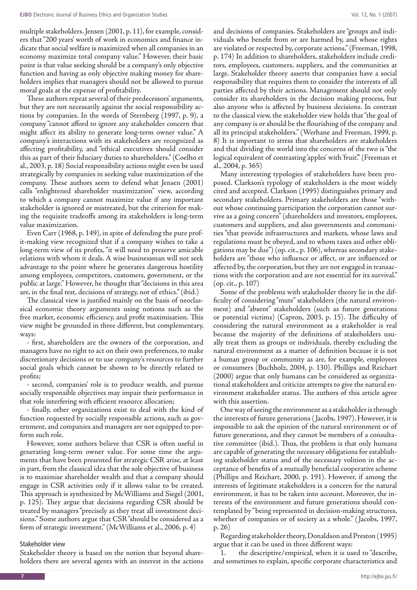multiple stakeholders. Jensen (2001, p. 11), for example, considers that "200 years' worth of work in economics and finance indicate that social welfare is maximized when all companies in an economy maximize total company value." However, their basic point is that value seeking should be a company's only objective function and having as only objective making money for shareholders implies that managers should not be allowed to pursue moral goals at the expense of profitability.

These authors repeat several of their predecessors' arguments, but they are not necessarily against the social responsibility actions by companies. In the words of Sternberg (1997, p. 9), a company "cannot afford to ignore any stakeholder concern that might affect its ability to generate long-term owner value." A company's interactions with its stakeholders are recognized as affecting profitability, and "ethical executives should consider this as part of their fiduciary duties to shareholders." (Coelho et al., 2003, p. 18) Social responsibility actions might even be used strategically by companies in seeking value maximization of the company. These authors seem to defend what Jensen (2001) calls "enlightened shareholder maximization" view, according to which a company cannot maximize value if any important stakeholder is ignored or mistreated, but the criterion for making the requisite tradeoffs among its stakeholders is long-term value maximization.

Even Carr (1968, p. 149), in spite of defending the pure profit-making view recognized that if a company wishes to take a long-term view of its profits, "it will need to preserve amicable relations with whom it deals. A wise businessman will not seek advantage to the point where he generates dangerous hostility among employees, competitors, customers, government, or the public at large." However, he thought that "decisions in this area are, in the final test, decisions of strategy, not of ethics." (ibid.)

The classical view is justified mainly on the basis of neoclassical economic theory arguments using notions such as the free market, economic efficiency, and profit maximisation. This view might be grounded in three different, but complementary, ways:

- first, shareholders are the owners of the corporation, and managers have no right to act on their own preferences, to make discretionary decisions or to use company's resources to further social goals which cannot be shown to be directly related to profits;

- second, companies' role is to produce wealth, and pursue socially responsible objectives may impair their performance in that role interfering with efficient resource allocation;

- finally, other organizations exist to deal with the kind of function requested by socially responsible actions, such as government, and companies and managers are not equipped to perform such role.

However, some authors believe that CSR is often useful in generating long-term owner value. For some time the arguments that have been presented for strategic CSR arise, at least in part, from the classical idea that the sole objective of business is to maximise shareholder wealth and that a company should engage in CSR activities only if it allows value to be created. This approach is synthesized by McWilliams and Siegel (2001, p. 125). They argue that decisions regarding CSR should be treated by managers "precisely as they treat all investment decisions." Some authors argue that CSR "should be considered as a form of strategic investment." (McWilliams et al., 2006, p. 4)

#### Stakeholder view

Stakeholder theory is based on the notion that beyond shareholders there are several agents with an interest in the actions and decisions of companies. Stakeholders are "groups and individuals who benefit from or are harmed by, and whose rights are violated or respected by, corporate actions." (Freeman, 1998, p. 174) In addition to shareholders, stakeholders include creditors, employees, customers, suppliers, and the communities at large. Stakeholder theory asserts that companies have a social responsibility that requires them to consider the interests of all parties affected by their actions. Management should not only consider its shareholders in the decision making process, but also anyone who is affected by business decisions. In contrast to the classical view, the stakeholder view holds that "the goal of any company is or should be the flourishing of the company and all its principal stakeholders." (Werhane and Freeman, 1999, p. 8) It is important to stress that shareholders are stakeholders and that dividing the world into the concerns of the two is "the logical equivalent of contrasting 'apples' with 'fruit'." (Freeman et al., 2004, p. 365)

Many interesting typologies of stakeholders have been proposed. Clarkson's typology of stakeholders is the most widely cited and accepted. Clarkson (1995) distinguishes primary and secondary stakeholders. Primary stakeholders are those "without whose continuing participation the corporation cannot survive as a going concern" (shareholders and investors, employees, customers and suppliers, and also governments and communities "that provide infrastructures and markets, whose laws and regulations must be obeyed, and to whom taxes and other obligations may be due") (op. cit., p. 106), whereas secondary stakeholders are "those who influence or affect, or are influenced or affected by, the corporation, but they are not engaged in transactions with the corporation and are not essential for its survival." (op. cit., p. 107)

Some of the problems with stakeholder theory lie in the difficulty of considering "mute" stakeholders (the natural environment) and "absent" stakeholders (such as future generations or potential victims) (Capron, 2003, p. 15). The difficulty of considering the natural environment as a stakeholder is real because the majority of the definitions of stakeholders usually treat them as groups or individuals, thereby excluding the natural environment as a matter of definition because it is not a human group or community as are, for example, employees or consumers (Buchholz, 2004, p. 130). Phillips and Reichart (2000) argue that only humans can be considered as organizational stakeholders and criticize attempts to give the natural environment stakeholder status. The authors of this article agree with this assertion.

One way of seeing the environment as a stakeholder is through the interests of future generations ( Jacobs, 1997). However, it is impossible to ask the opinion of the natural environment or of future generations, and they cannot be members of a consultative committee (ibid.). Thus, the problem is that only humans are capable of generating the necessary obligations for establishing stakeholder status and of the necessary volition in the acceptance of benefits of a mutually beneficial cooperative scheme (Phillips and Reichart, 2000, p. 191). However, if among the interests of legitimate stakeholders is a concern for the natural environment, it has to be taken into account. Moreover, the interests of the environment and future generations should contemplated by "being represented in decision-making structures, whether of companies or of society as a whole." ( Jacobs, 1997, p. 26)

Regarding stakeholder theory, Donaldson and Preston (1995) argue that it can be used in three different ways:

1. the descriptive/empirical, when it is used to "describe, and sometimes to explain, specific corporate characteristics and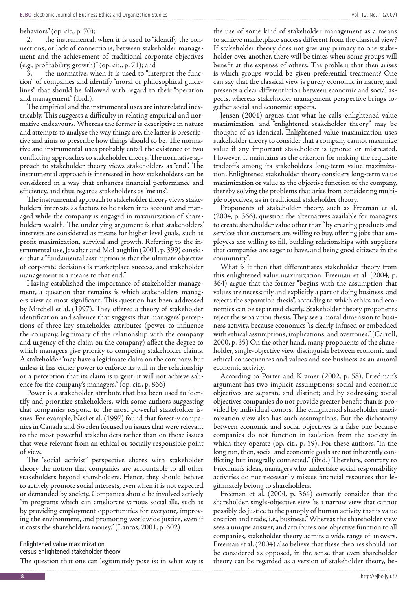#### behaviors" (op. cit., p. 70);

2. the instrumental, when it is used to "identify the connections, or lack of connections, between stakeholder management and the achievement of traditional corporate objectives (e.g., profitability, growth)" (op. cit., p. 71); and

the normative, when it is used to "interpret the function" of companies and identify "moral or philosophical guidelines" that should be followed with regard to their "operation and management" (ibid.).

The empirical and the instrumental uses are interrelated inextricably. This suggests a difficulty in relating empirical and normative endeavours. Whereas the former is descriptive in nature and attempts to analyse the way things are, the latter is prescriptive and aims to prescribe how things should to be. The normative and instrumental uses probably entail the existence of two conflicting approaches to stakeholder theory. The normative approach to stakeholder theory views stakeholders as "end". The instrumental approach is interested in how stakeholders can be considered in a way that enhances financial performance and efficiency, and thus regards stakeholders as "means".

The instrumental approach to stakeholder theory views stakeholders' interests as factors to be taken into account and managed while the company is engaged in maximization of shareholders wealth. The underlying argument is that stakeholders' interests are considered as means for higher level goals, such as profit maximization, survival and growth. Referring to the instrumental use, Jawahar and McLaughlin (2001, p. 399) consider that a "fundamental assumption is that the ultimate objective of corporate decisions is marketplace success, and stakeholder management is a means to that end."

Having established the importance of stakeholder management, a question that remains is which stakeholders managers view as most significant. This question has been addressed by Mitchell et al. (1997). They offered a theory of stakeholder identification and salience that suggests that managers' perceptions of three key stakeholder attributes (power to influence the company, legitimacy of the relationship with the company and urgency of the claim on the company) affect the degree to which managers give priority to competing stakeholder claims. A stakeholder "may have a legitimate claim on the company, but unless it has either power to enforce its will in the relationship or a perception that its claim is urgent, it will not achieve salience for the company's managers." (op. cit., p. 866)

Power is a stakeholder attribute that has been used to identify and prioritize stakeholders, with some authors suggesting that companies respond to the most powerful stakeholder issues. For example, Nasi et al. (1997) found that forestry companies in Canada and Sweden focused on issues that were relevant to the most powerful stakeholders rather than on those issues that were relevant from an ethical or socially responsible point of view.

The "social activist" perspective shares with stakeholder theory the notion that companies are accountable to all other stakeholders beyond shareholders. Hence, they should behave to actively promote social interests, even when it is not expected or demanded by society. Companies should be involved actively "in programs which can ameliorate various social ills, such as by providing employment opportunities for everyone, improving the environment, and promoting worldwide justice, even if it costs the shareholders money." (Lantos, 2001, p. 602)

#### Enlightened value maximization versus enlightened stakeholder theory

The question that one can legitimately pose is: in what way is

the use of some kind of stakeholder management as a means to achieve marketplace success different from the classical view? If stakeholder theory does not give any primacy to one stakeholder over another, there will be times when some groups will benefit at the expense of others. The problem that then arises is which groups would be given preferential treatment? One can say that the classical view is purely economic in nature, and presents a clear differentiation between economic and social aspects, whereas stakeholder management perspective brings together social and economic aspects.

Jensen (2001) argues that what he calls "enlightened value maximization" and "enlightened stakeholder theory" may be thought of as identical. Enlightened value maximization uses stakeholder theory to consider that a company cannot maximize value if any important stakeholder is ignored or mistreated. However, it maintains as the criterion for making the requisite tradeoffs among its stakeholders long-term value maximization. Enlightened stakeholder theory considers long-term value maximization or value as the objective function of the company, thereby solving the problems that arise from considering multiple objectives, as in traditional stakeholder theory.

Proponents of stakeholder theory, such as Freeman et al. (2004, p. 366), question the alternatives available for managers to create shareholder value other than "by creating products and services that customers are willing to buy, offering jobs that employees are willing to fill, building relationships with suppliers that companies are eager to have, and being good citizens in the community".

What is it then that differentiates stakeholder theory from this enlightened value maximization. Freeman et al. (2004, p. 364) argue that the former "begins with the assumption that values are necessarily and explicitly a part of doing business, and rejects the separation thesis", according to which ethics and economics can be separated clearly. Stakeholder theory proponents reject the separation thesis. They see a moral dimension to business activity, because economics "is clearly infused or embedded with ethical assumptions, implications, and overtones." (Carroll, 2000, p. 35) On the other hand, many proponents of the shareholder, single-objective view distinguish between economic and ethical consequences and values and see business as an amoral economic activity.

According to Porter and Kramer (2002, p. 58), Friedman's argument has two implicit assumptions: social and economic objectives are separate and distinct; and by addressing social objectives companies do not provide greater benefit than is provided by individual donors. The enlightened shareholder maximization view also has such assumptions. But the dichotomy between economic and social objectives is a false one because companies do not function in isolation from the society in which they operate (op. cit., p. 59). For these authors, "in the long run, then, social and economic goals are not inherently conflicting but integrally connected." (ibid.) Therefore, contrary to Friedman's ideas, managers who undertake social responsibility activities do not necessarily misuse financial resources that legitimately belong to shareholders.

Freeman et al. (2004, p. 364) correctly consider that the shareholder, single-objective view "is a narrow view that cannot possibly do justice to the panoply of human activity that is value creation and trade, i.e., business." Whereas the shareholder view sees a unique answer, and attributes one objective function to all companies, stakeholder theory admits a wide range of answers. Freeman et al. (2004) also believe that these theories should not be considered as opposed, in the sense that even shareholder theory can be regarded as a version of stakeholder theory, be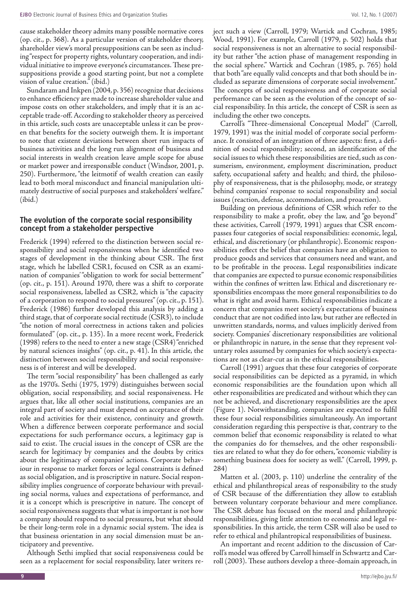cause stakeholder theory admits many possible normative cores (op. cit., p. 368). As a particular version of stakeholder theory, shareholder view's moral presuppositions can be seen as including "respect for property rights, voluntary cooperation, and individual initiative to improve everyone's circumstances. These presuppositions provide a good starting point, but not a complete vision of value creation." (ibid.)

Sundaram and Inkpen (2004, p. 356) recognize that decisions to enhance efficiency are made to increase shareholder value and impose costs on other stakeholders, and imply that it is an acceptable trade-off. According to stakeholder theory as perceived in this article, such costs are unacceptable unless it can be proven that benefits for the society outweigh them. It is important to note that existent deviations between short run impacts of business activities and the long run alignment of business and social interests in wealth creation leave ample scope for abuse or market power and irresponsible conduct (Windsor, 2001, p. 250). Furthermore, "the leitmotif of wealth creation can easily lead to both moral misconduct and financial manipulation ultimately destructive of social purposes and stakeholders' welfare." (ibid.)

#### **The evolution of the corporate social responsibility concept from a stakeholder perspective**

Frederick (1994) referred to the distinction between social responsibility and social responsiveness when he identified two stages of development in the thinking about CSR. The first stage, which he labelled CSR1, focused on CSR as an examination of companies' "obligation to work for social betterment" (op. cit., p. 151). Around 1970, there was a shift to corporate social responsiveness, labelled as CSR2, which is "the capacity of a corporation to respond to social pressures" (op. cit., p. 151). Frederick (1986) further developed this analysis by adding a third stage, that of corporate social rectitude (CSR3), to include "the notion of moral correctness in actions taken and policies formulated" (op. cit., p. 135). In a more recent work, Frederick (1998) refers to the need to enter a new stage (CSR4) "enriched by natural sciences insights" (op. cit., p. 41). In this article, the distinction between social responsibility and social responsiveness is of interest and will be developed.

The term "social responsibility" has been challenged as early as the 1970's. Sethi (1975, 1979) distinguishes between social obligation, social responsibility, and social responsiveness. He argues that, like all other social institutions, companies are an integral part of society and must depend on acceptance of their role and activities for their existence, continuity and growth. When a difference between corporate performance and social expectations for such performance occurs, a legitimacy gap is said to exist. The crucial issues in the concept of CSR are the search for legitimacy by companies and the doubts by critics about the legitimacy of companies' actions. Corporate behaviour in response to market forces or legal constraints is defined as social obligation, and is proscriptive in nature. Social responsibility implies congruence of corporate behaviour with prevailing social norms, values and expectations of performance, and it is a concept which is prescriptive in nature. The concept of social responsiveness suggests that what is important is not how a company should respond to social pressures, but what should be their long-term role in a dynamic social system. The idea is that business orientation in any social dimension must be anticipatory and preventive.

Although Sethi implied that social responsiveness could be seen as a replacement for social responsibility, later writers reject such a view (Carroll, 1979; Wartick and Cochran, 1985; Wood, 1991). For example, Carroll (1979, p. 502) holds that social responsiveness is not an alternative to social responsibility but rather "the action phase of management responding in the social sphere." Wartick and Cochran (1985, p. 765) hold that both "are equally valid concepts and that both should be included as separate dimensions of corporate social involvement." The concepts of social responsiveness and of corporate social performance can be seen as the evolution of the concept of social responsibility. In this article, the concept of CSR is seen as including the other two concepts.

Carroll's "Three-dimensional Conceptual Model" (Carroll, 1979, 1991) was the initial model of corporate social performance. It consisted of an integration of three aspects: first, a definition of social responsibility; second, an identification of the social issues to which these responsibilities are tied, such as consumerism, environment, employment discrimination, product safety, occupational safety and health; and third, the philosophy of responsiveness, that is the philosophy, mode, or strategy behind companies' response to social responsibility and social issues (reaction, defense, accommodation, and proaction).

Building on previous definitions of CSR which refer to the responsibility to make a profit, obey the law, and "go beyond" these activities, Carroll (1979, 1991) argues that CSR encompasses four categories of social responsibilities: economic, legal, ethical, and discretionary (or philanthropic). Economic responsibilities reflect the belief that companies have an obligation to produce goods and services that consumers need and want, and to be profitable in the process. Legal responsibilities indicate that companies are expected to pursue economic responsibilities within the confines of written law. Ethical and discretionary responsibilities encompass the more general responsibilities to do what is right and avoid harm. Ethical responsibilities indicate a concern that companies meet society's expectations of business conduct that are not codified into law, but rather are reflected in unwritten standards, norms, and values implicitly derived from society. Companies' discretionary responsibilities are volitional or philanthropic in nature, in the sense that they represent voluntary roles assumed by companies for which society's expectations are not as clear-cut as in the ethical responsibilities.

Carroll (1991) argues that these four categories of corporate social responsibilities can be depicted as a pyramid, in which economic responsibilities are the foundation upon which all other responsibilities are predicated and without which they can not be achieved, and discretionary responsibilities are the apex (Figure 1). Notwithstanding, companies are expected to fulfil these four social responsibilities simultaneously. An important consideration regarding this perspective is that, contrary to the common belief that economic responsibility is related to what the companies do for themselves, and the other responsibilities are related to what they do for others, "economic viability is something business does for society as well." (Carroll, 1999, p. 284)

Matten et al. (2003, p. 110) underline the centrality of the ethical and philanthropical areas of responsibility to the study of CSR because of the differentiation they allow to establish between voluntary corporate behaviour and mere compliance. The CSR debate has focused on the moral and philanthropic responsibilities, giving little attention to economic and legal responsibilities. In this article, the term CSR will also be used to refer to ethical and philantropical responsibilities of business.

An important and recent addition to the discussion of Carroll's model was offered by Carroll himself in Schwartz and Carroll (2003). These authors develop a three-domain approach, in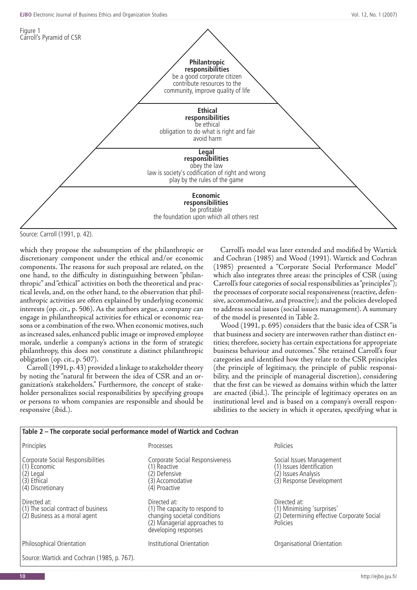

Source: Carroll (1991, p. 42).

which they propose the subsumption of the philanthropic or discretionary component under the ethical and/or economic components. The reasons for such proposal are related, on the one hand, to the difficulty in distinguishing between "philanthropic" and "ethical" activities on both the theoretical and practical levels, and, on the other hand, to the observation that philanthropic activities are often explained by underlying economic interests (op. cit., p. 506). As the authors argue, a company can engage in philanthropical activities for ethical or economic reasons or a combination of the two. When economic motives, such as increased sales, enhanced public image or improved employee morale, underlie a company's actions in the form of strategic philanthropy, this does not constitute a distinct philanthropic obligation (op. cit., p. 507).

Carroll (1991, p. 43) provided a linkage to stakeholder theory by noting the "natural fit between the idea of CSR and an organization's stakeholders." Furthermore, the concept of stakeholder personalizes social responsibilities by specifying groups or persons to whom companies are responsible and should be responsive (ibid.).

Carroll's model was later extended and modified by Wartick and Cochran (1985) and Wood (1991). Wartick and Cochran (1985) presented a "Corporate Social Performance Model" which also integrates three areas: the principles of CSR (using Carroll's four categories of social responsibilities as "principles"); the processes of corporate social responsiveness (reactive, defensive, accommodative, and proactive); and the policies developed to address social issues (social issues management). A summary of the model is presented in Table 2.

Wood (1991, p. 695) considers that the basic idea of CSR "is that business and society are interwoven rather than distinct entities; therefore, society has certain expectations for appropriate business behaviour and outcomes." She retained Carroll's four categories and identified how they relate to the CSR principles (the principle of legitimacy, the principle of public responsibility, and the principle of managerial discretion), considering that the first can be viewed as domains within which the latter are enacted (ibid.). The principle of legitimacy operates on an institutional level and is based on a company's overall responsibilities to the society in which it operates, specifying what is

| Table 2 - The corporate social performance model of Wartick and Cochran                                |                                                                                                                                        |                                                                                                          |
|--------------------------------------------------------------------------------------------------------|----------------------------------------------------------------------------------------------------------------------------------------|----------------------------------------------------------------------------------------------------------|
| Principles                                                                                             | Processes                                                                                                                              | Policies                                                                                                 |
| Corporate Social Responsibilities<br>(1) Economic<br>$(2)$ Legal<br>$(3)$ Ethical<br>(4) Discretionary | Corporate Social Responsiveness<br>(1) Reactive<br>(2) Defensive<br>(3) Accomodative<br>(4) Proactive                                  | Social Issues Management<br>(1) Issues Identification<br>(2) Issues Analysis<br>(3) Response Development |
| Directed at:<br>(1) The social contract of business<br>(2) Business as a moral agent                   | Directed at:<br>(1) The capacity to respond to<br>changing societal conditions<br>(2) Managerial approaches to<br>developing responses | Directed at:<br>(1) Minimising 'surprises'<br>(2) Determining effective Corporate Social<br>Policies     |
| Philosophical Orientation                                                                              | Institutional Orientation                                                                                                              | Organisational Orientation                                                                               |
| Source: Wartick and Cochran (1985, p. 767).                                                            |                                                                                                                                        |                                                                                                          |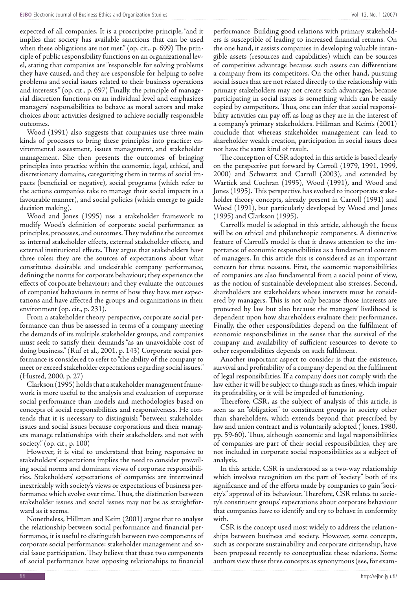expected of all companies. It is a proscriptive principle, "and it implies that society has available sanctions that can be used when these obligations are not met." (op. cit., p. 699) The principle of public responsibility functions on an organizational level, stating that companies are "responsible for solving problems they have caused, and they are responsible for helping to solve problems and social issues related to their business operations and interests." (op. cit., p. 697) Finally, the principle of managerial discretion functions on an individual level and emphasizes managers' responsibilities to behave as moral actors and make choices about activities designed to achieve socially responsible outcomes.

Wood (1991) also suggests that companies use three main kinds of processes to bring these principles into practice: environmental assessment, issues management, and stakeholder management. She then presents the outcomes of bringing principles into practice within the economic, legal, ethical, and discretionary domains, categorizing them in terms of social impacts (beneficial or negative), social programs (which refer to the actions companies take to manage their social impacts in a favourable manner), and social policies (which emerge to guide decision making).

Wood and Jones (1995) use a stakeholder framework to modify Wood's definition of corporate social performance as principles, processes, and outcomes. They redefine the outcomes as internal stakeholder effects, external stakeholder effects, and external institutional effects. They argue that stakeholders have three roles: they are the sources of expectations about what constitutes desirable and undesirable company performance, defining the norms for corporate behaviour; they experience the effects of corporate behaviour; and they evaluate the outcomes of companies' behaviours in terms of how they have met expectations and have affected the groups and organizations in their environment (op. cit., p. 231).

From a stakeholder theory perspective, corporate social performance can thus be assessed in terms of a company meeting the demands of its multiple stakeholder groups, and companies must seek to satisfy their demands "as an unavoidable cost of doing business." (Ruf et al., 2001, p. 143) Corporate social performance is considered to refer to "the ability of the company to meet or exceed stakeholder expectations regarding social issues." (Husted, 2000, p. 27)

Clarkson (1995) holds that a stakeholder management framework is more useful to the analysis and evaluation of corporate social performance than models and methodologies based on concepts of social responsibilities and responsiveness. He contends that it is necessary to distinguish "between stakeholder issues and social issues because corporations and their managers manage relationships with their stakeholders and not with society." (op. cit., p. 100)

However, it is vital to understand that being responsive to stakeholders' expectations implies the need to consider prevailing social norms and dominant views of corporate responsibilities. Stakeholders' expectations of companies are intertwined inextricably with society's views or expectations of business performance which evolve over time. Thus, the distinction between stakeholder issues and social issues may not be as straightforward as it seems.

Nonetheless, Hillman and Keim (2001) argue that to analyse the relationship between social performance and financial performance, it is useful to distinguish between two components of corporate social performance: stakeholder management and social issue participation. They believe that these two components of social performance have opposing relationships to financial

performance. Building good relations with primary stakeholders is susceptible of leading to increased financial returns. On the one hand, it assists companies in developing valuable intangible assets (resources and capabilities) which can be sources of competitive advantage because such assets can differentiate a company from its competitors. On the other hand, pursuing social issues that are not related directly to the relationship with primary stakeholders may not create such advantages, because participating in social issues is something which can be easily copied by competitors. Thus, one can infer that social responsibility activities can pay off, as long as they are in the interest of a company's primary stakeholders. Hillman and Keim's (2001) conclude that whereas stakeholder management can lead to shareholder wealth creation, participation in social issues does not have the same kind of result.

The conception of CSR adopted in this article is based clearly on the perspective put forward by Carroll (1979, 1991, 1999, 2000) and Schwartz and Carroll (2003), and extended by Wartick and Cochran (1995), Wood (1991), and Wood and Jones (1995). This perspective has evolved to incorporate stakeholder theory concepts, already present in Carroll (1991) and Wood (1991), but particularly developed by Wood and Jones (1995) and Clarkson (1995).

Carroll's model is adopted in this article, although the focus will be on ethical and philanthropic components. A distinctive feature of Carroll's model is that it draws attention to the importance of economic responsibilities as a fundamental concern of managers. In this article this is considered as an important concern for three reasons. First, the economic responsibilities of companies are also fundamental from a social point of view, as the notion of sustainable development also stresses. Second, shareholders are stakeholders whose interests must be considered by managers. This is not only because those interests are protected by law but also because the managers' livelihood is dependent upon how shareholders evaluate their performance. Finally, the other responsibilities depend on the fulfilment of economic responsibilities in the sense that the survival of the company and availability of sufficient resources to devote to other responsibilities depends on such fulfilment.

Another important aspect to consider is that the existence, survival and profitability of a company depend on the fulfilment of legal responsibilities. If a company does not comply with the law either it will be subject to things such as fines, which impair its profitability, or it will be impeded of functioning.

Therefore, CSR, as the subject of analysis of this article, is seen as an "obligation" to constituent groups in society other than shareholders, which extends beyond that prescribed by law and union contract and is voluntarily adopted ( Jones, 1980, pp. 59-60). Thus, although economic and legal responsibilities of companies are part of their social responsibilities, they are not included in corporate social responsibilities as a subject of analysis.

In this article, CSR is understood as a two-way relationship which involves recognition on the part of "society" both of its significance and of the efforts made by companies to gain "society's" approval of its behaviour. Therefore, CSR relates to society's constituent groups' expectations about corporate behaviour that companies have to identify and try to behave in conformity with.

CSR is the concept used most widely to address the relationships between business and society. However, some concepts, such as corporate sustainability and corporate citizenship, have been proposed recently to conceptualize these relations. Some authors view these three concepts as synonymous (see, for exam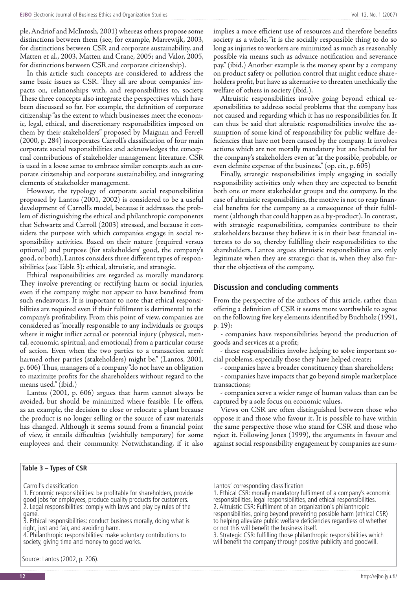ple, Andriof and McIntosh, 2001) whereas others propose some distinctions between them (see, for example, Marrewijk, 2003, for distinctions between CSR and corporate sustainability, and Matten et al., 2003, Matten and Crane, 2005; and Valor, 2005, for distinctions between CSR and corporate citizenship).

In this article such concepts are considered to address the same basic issues as CSR. They all are about companies' impacts on, relationships with, and responsibilities to, society. These three concepts also integrate the perspectives which have been discussed so far. For example, the definition of corporate citizenship "as the extent to which businesses meet the economic, legal, ethical, and discretionary responsibilities imposed on them by their stakeholders" proposed by Maignan and Ferrell (2000, p. 284) incorporates Carroll's classification of four main corporate social responsibilities and acknowledges the conceptual contributions of stakeholder management literature. CSR is used in a loose sense to embrace similar concepts such as corporate citizenship and corporate sustainability, and integrating elements of stakeholder management.

However, the typology of corporate social responsibilities proposed by Lantos (2001, 2002) is considered to be a useful development of Carroll's model, because it addresses the problem of distinguishing the ethical and philanthropic components that Schwartz and Carroll (2003) stressed, and because it considers the purpose with which companies engage in social responsibility activities. Based on their nature (required versus optional) and purpose (for stakeholders' good, the company's good, or both), Lantos considers three different types of responsibilities (see Table 3): ethical, altruistic, and strategic.

Ethical responsibilities are regarded as morally mandatory. They involve preventing or rectifying harm or social injuries, even if the company might not appear to have benefited from such endeavours. It is important to note that ethical responsibilities are required even if their fulfilment is detrimental to the company's profitability. From this point of view, companies are considered as "morally responsible to any individuals or groups where it might inflict actual or potential injury (physical, mental, economic, spiritual, and emotional) from a particular course of action. Even when the two parties to a transaction aren't harmed other parties (stakeholders) might be." (Lantos, 2001, p. 606) Thus, managers of a company "do not have an obligation to maximize profits for the shareholders without regard to the means used." (ibid.)

Lantos (2001, p. 606) argues that harm cannot always be avoided, but should be minimized where feasible. He offers, as an example, the decision to close or relocate a plant because the product is no longer selling or the source of raw materials has changed. Although it seems sound from a financial point of view, it entails difficulties (wishfully temporary) for some employees and their community. Notwithstanding, if it also

#### **Table 3 – Types of CSR**

Carroll's classification

- 1. Economic responsibilities: be profitable for shareholders, provide good jobs for employees, produce quality products for customers. 2. Legal responsibilities: comply with laws and play by rules of the
- game.

Source: Lantos (2002, p. 206).

implies a more efficient use of resources and therefore benefits society as a whole, "it is the socially responsible thing to do so long as injuries to workers are minimized as much as reasonably possible via means such as advance notification and severance pay." (ibid.) Another example is the money spent by a company on product safety or pollution control that might reduce shareholders profit, but have as alternative to threaten unethically the welfare of others in society (ibid.).

Altruistic responsibilities involve going beyond ethical responsibilities to address social problems that the company has not caused and regarding which it has no responsibilities for. It can thus be said that altruistic responsibilities involve the assumption of some kind of responsibility for public welfare deficiencies that have not been caused by the company. It involves actions which are not morally mandatory but are beneficial for the company's stakeholders even at "at the possible, probable, or even definite expense of the business." (op. cit., p. 605)

Finally, strategic responsibilities imply engaging in socially responsibility activities only when they are expected to benefit both one or more stakeholder groups and the company. In the case of altruistic responsibilities, the motive is not to reap financial benefits for the company as a consequence of their fulfilment (although that could happen as a by-product). In contrast, with strategic responsibilities, companies contribute to their stakeholders because they believe it is in their best financial interests to do so, thereby fulfilling their responsibilities to the shareholders. Lantos argues altruistic responsibilities are only legitimate when they are strategic: that is, when they also further the objectives of the company.

#### **Discussion and concluding comments**

From the perspective of the authors of this article, rather than offering a definition of CSR it seems more worthwhile to agree on the following five key elements identified by Buchholz (1991, p. 19):

- companies have responsibilities beyond the production of goods and services at a profit;

- these responsibilities involve helping to solve important social problems, especially those they have helped create;

- companies have a broader constituency than shareholders;

- companies have impacts that go beyond simple marketplace transactions;

- companies serve a wider range of human values than can be captured by a sole focus on economic values.

Views on CSR are often distinguished between those who oppose it and those who favour it. It is possible to have within the same perspective those who stand for CSR and those who reject it. Following Jones (1999), the arguments in favour and against social responsibility engagement by companies are sum-

Lantos' corresponding classification

1. Ethical CSR: morally mandatory fulfilment of a company's economic responsibilities, legal responsibilities, and ethical responsibilities. 2. Altruistic CSR: Fulfilment of an organization's philanthropic

responsibilities, going beyond preventing possible harm (ethical CSR) to helping alleviate public welfare deficiencies regardless of whether or not this will benefit the business itself.

3. Strategic CSR: fulfilling those philanthropic responsibilities which will benefit the company through positive publicity and goodwill.

<sup>3.</sup> Ethical responsibilities: conduct business morally, doing what is right, just and fair, and avoiding harm.

<sup>4.</sup> Philanthropic responsibilities: make voluntary contributions to society, giving time and money to good works.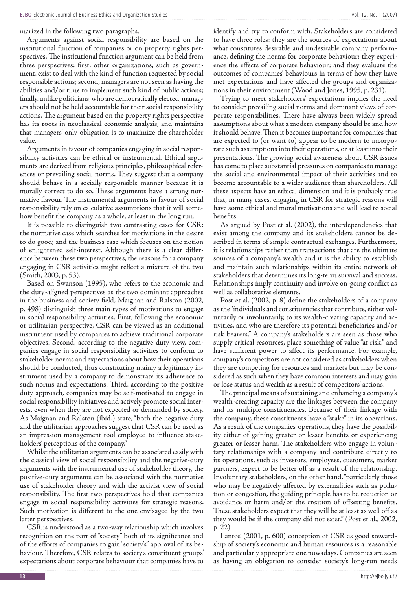marized in the following two paragraphs.

Arguments against social responsibility are based on the institutional function of companies or on property rights perspectives. The institutional function argument can be held from three perspectives: first, other organizations, such as government, exist to deal with the kind of function requested by social responsible actions; second, managers are not seen as having the abilities and/or time to implement such kind of public actions; finally, unlike politicians, who are democratically elected, managers should not be held accountable for their social responsibility actions. The argument based on the property rights perspective has its roots in neoclassical economic analysis, and maintains that managers' only obligation is to maximize the shareholder value.

Arguments in favour of companies engaging in social responsibility activities can be ethical or instrumental. Ethical arguments are derived from religious principles, philosophical references or prevailing social norms. They suggest that a company should behave in a socially responsible manner because it is morally correct to do so. These arguments have a strong normative flavour. The instrumental arguments in favour of social responsibility rely on calculative assumptions that it will somehow benefit the company as a whole, at least in the long run.

It is possible to distinguish two contrasting cases for CSR: the normative case which searches for motivations in the desire to do good; and the business case which focuses on the notion of enlightened self-interest. Although there is a clear difference between these two perspectives, the reasons for a company engaging in CSR activities might reflect a mixture of the two (Smith, 2003, p. 53).

Based on Swanson (1995), who refers to the economic and the duty-aligned perspectives as the two dominant approaches in the business and society field, Maignan and Ralston (2002, p. 498) distinguish three main types of motivations to engage in social responsibility activities. First, following the economic or utilitarian perspective, CSR can be viewed as an additional instrument used by companies to achieve traditional corporate objectives. Second, according to the negative duty view, companies engage in social responsibility activities to conform to stakeholder norms and expectations about how their operations should be conducted, thus constituting mainly a legitimacy instrument used by a company to demonstrate its adherence to such norms and expectations. Third, according to the positive duty approach, companies may be self-motivated to engage in social responsibility initiatives and actively promote social interests, even when they are not expected or demanded by society. As Maignan and Ralston (ibid.) state, "both the negative duty and the utilitarian approaches suggest that CSR can be used as an impression management tool employed to influence stakeholders' perceptions of the company."

Whilst the utilitarian arguments can be associated easily with the classical view of social responsibility and the negative-duty arguments with the instrumental use of stakeholder theory, the positive-duty arguments can be associated with the normative use of stakeholder theory and with the activist view of social responsibility. The first two perspectives hold that companies engage in social responsibility activities for strategic reasons. Such motivation is different to the one envisaged by the two latter perspectives.

CSR is understood as a two-way relationship which involves recognition on the part of "society" both of its significance and of the efforts of companies to gain "society's" approval of its behaviour. Therefore, CSR relates to society's constituent groups' expectations about corporate behaviour that companies have to

identify and try to conform with. Stakeholders are considered to have three roles: they are the sources of expectations about what constitutes desirable and undesirable company performance, defining the norms for corporate behaviour; they experience the effects of corporate behaviour; and they evaluate the outcomes of companies' behaviours in terms of how they have met expectations and have affected the groups and organizations in their environment (Wood and Jones, 1995, p. 231).

Trying to meet stakeholders' expectations implies the need to consider prevailing social norms and dominant views of corporate responsibilities. There have always been widely spread assumptions about what a modern company should be and how it should behave. Then it becomes important for companies that are expected to (or want to) appear to be modern to incorporate such assumptions into their operations, or at least into their presentations. The growing social awareness about CSR issues has come to place substantial pressures on companies to manage the social and environmental impact of their activities and to become accountable to a wider audience than shareholders. All these aspects have an ethical dimension and it is probably true that, in many cases, engaging in CSR for strategic reasons will have some ethical and moral motivations and will lead to social benefits.

As argued by Post et al. (2002), the interdependencies that exist among the company and its stakeholders cannot be described in terms of simple contractual exchanges. Furthermore, it is relationships rather than transactions that are the ultimate sources of a company's wealth and it is the ability to establish and maintain such relationships within its entire network of stakeholders that determines its long-term survival and success. Relationships imply continuity and involve on-going conflict as well as collaborative elements.

Post et al. (2002, p. 8) define the stakeholders of a company as the "individuals and constituencies that contribute, either voluntarily or involuntarily, to its wealth-creating capacity and activities, and who are therefore its potential beneficiaries and/or risk bearers." A company's stakeholders are seen as those who supply critical resources, place something of value "at risk," and have sufficient power to affect its performance. For example, company's competitors are not considered as stakeholders when they are competing for resources and markets but may be considered as such when they have common interests and may gain or lose status and wealth as a result of competitors' actions.

The principal means of sustaining and enhancing a company's wealth-creating capacity are the linkages between the company and its multiple constituencies. Because of their linkage with the company, these constituents have a "stake" in its operations. As a result of the companies' operations, they have the possibility either of gaining greater or lesser benefits or experiencing greater or lesser harm. The stakeholders who engage in voluntary relationships with a company and contribute directly to its operations, such as investors, employees, customers, market partners, expect to be better off as a result of the relationship. Involuntary stakeholders, on the other hand, "particularly those who may be negatively affected by externalities such as pollution or congestion, the guiding principle has to be reduction or avoidance or harm and/or the creation of offsetting benefits. These stakeholders expect that they will be at least as well off as they would be if the company did not exist." (Post et al., 2002, p. 22)

Lantos' (2001, p. 600) conception of CSR as good stewardship of society's economic and human resources is a reasonable and particularly appropriate one nowadays. Companies are seen as having an obligation to consider society's long-run needs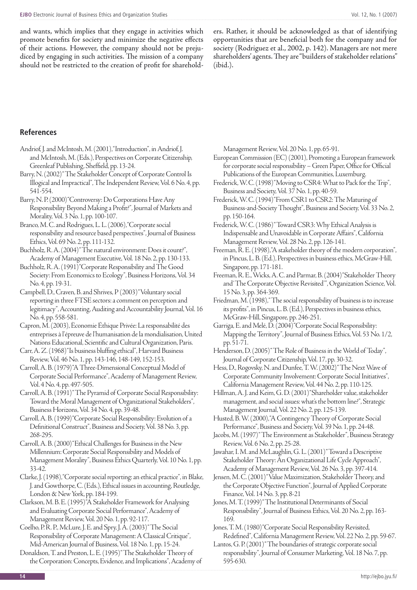and wants, which implies that they engage in activities which promote benefits for society and minimize the negative effects of their actions. However, the company should not be prejudiced by engaging in such activities. The mission of a company should not be restricted to the creation of profit for shareholders. Rather, it should be acknowledged as that of identifying opportunities that are beneficial both for the company and for society (Rodriguez et al., 2002, p. 142). Managers are not mere shareholders' agents. They are "builders of stakeholder relations" (ibid.).

#### **References**

- Andriof, J. and McIntosh, M. (2001), "Introduction", in Andriof, J. and McIntosh, M. (Eds.), Perspectives on Corporate Citizenship, Greenleaf Publishing, Sheffield, pp. 13-24.
- Barry, N. (2002) "The Stakeholder Concept of Corporate Control Is Illogical and Impractical", The Independent Review, Vol. 6 No. 4, pp. 541-554.
- Barry, N. P. (2000) "Controversy: Do Corporations Have Any Responsibility Beyond Making a Profit?", Journal of Markets and Morality, Vol. 3 No. 1, pp. 100-107.
- Branco, M. C. and Rodrigues, L. L. (2006), "Corporate social responsibility and resource based perspectives", Journal of Business Ethics, Vol. 69 No. 2, pp. 111-132.
- Buchholz, R. A. (2004) "The natural environment: Does it count?", Academy of Management Executive, Vol. 18 No. 2, pp. 130-133.
- Buchholz, R. A. (1991) "Corporate Responsibility and The Good Society: From Economics to Ecology", Business Horizons, Vol. 34 No. 4, pp. 19-31.
- Campbell, D., Craven, B. and Shrives, P (2003) "Voluntary social reporting in three FTSE sectors: a comment on perception and legitimacy", Accounting, Auditing and Accountability Journal, Vol. 16 No. 4, pp. 558-581.
- Capron, M. (2003), Èconomie Éthique Privée: La responsabilité des entreprises à l'épreuve de l'humanisation de la mondialisation, United Nations Educational, Scientific and Cultural Organization, Paris.
- Carr, A. Z. (1968) "Is business bluffing ethical", Harvard Business Review, Vol. 46 No. 1, pp. 143-146, 148-149, 152-153.
- Carroll, A. B. (1979) "A Three-Dimensional Conceptual Model of Corporate Social Performance", Academy of Management Review, Vol. 4 No. 4, pp. 497-505.
- Carroll, A. B. (1991) "The Pyramid of Corporate Social Responsibility: Toward the Moral Management of Organizational Stakeholders", Business Horizons, Vol. 34 No. 4, pp. 39-48.
- Carroll, A. B. (1999) "Corporate Social Responsibility: Evolution of a Definitional Construct", Business and Society, Vol. 38 No. 3, pp. 268-295.
- Carroll, A. B. (2000) "Ethical Challenges for Business in the New Millennium: Corporate Social Responsibility and Models of Management Morality", Business Ethics Quarterly, Vol. 10 No. 1, pp. 33-42.
- Clarke, J. (1998), "Corporate social reporting: an ethical practice", in Blake, J. and Gowthorpe, C. (Eds.), Ethical issues in accounting, Routledge, London & New York, pp. 184-199.
- Clarkson, M. B. E. (1995) "A Stakeholder Framework for Analysing and Evaluating Corporate Social Performance", Academy of Management Review, Vol. 20 No. 1, pp. 92-117.
- Coelho, P. R. P., McLure, J. E. and Spry, J. A. (2003) "The Social Responsibility of Corporate Management: A Classical Critique", Mid-American Journal of Business, Vol. 18 No. 1, pp. 15-24.
- Donaldson, T. and Preston, L. E. (1995) "The Stakeholder Theory of the Corporation: Concepts, Evidence, and Implications", Academy of

Management Review, Vol. 20 No. 1, pp. 65-91.

- European Commission (EC) (2001), Promoting a European framework for corporate social responsibility – Green Paper, Office for Official Publications of the European Communities, Luxemburg.
- Frederick, W. C. (1998) "Moving to CSR4: What to Pack for the Trip", Business and Society, Vol. 37 No. 1, pp. 40-59.
- Frederick, W. C. (1994) "From CSR1 to CSR2: The Maturing of Business-and-Society Thought", Business and Society, Vol. 33 No. 2, pp. 150-164.
- Frederick, W. C. (1986) "Toward CSR3: Why Ethical Analysis is Indispensable and Unavoidable in Corporate Affairs", California Management Review, Vol. 28 No. 2, pp. 126-141.
- Freeman, R. E. (1998), "A stakeholder theory of the modern corporation", in Pincus, L. B. (Ed.), Perspectives in business ethics, McGraw-Hill, Singapore, pp. 171-181.
- Freeman, R. E., Wicks, A. C. and Parmar, B. (2004) "Stakeholder Theory and 'The Corporate Objective Revisited'", Organization Science, Vol. 15 No. 3, pp. 364-369.
- Friedman, M. (1998), "The social responsibility of business is to increase its profits", in Pincus, L. B. (Ed.), Perspectives in business ethics, McGraw-Hill, Singapore, pp. 246-251.
- Garriga, E. and Melé, D. (2004) "Corporate Social Responsibility: Mapping the Territory", Journal of Business Ethics, Vol. 53 No. 1/2, pp. 51-71.
- Henderson, D. (2005) "The Role of Business in the World of Today", Journal of Corporate Citizenship, Vol. 17, pp. 30-32.
- Hess, D., Rogovsky, N. and Dunfee, T. W. (2002) "The Next Wave of Corporate Community Involvement: Corporate Social Initiatives", California Management Review, Vol. 44 No. 2, pp. 110-125.
- Hillman, A. J. and Keim, G. D. (2001) "Shareholder value, stakeholder management, and social issues: what's the bottom line?", Strategic Management Journal, Vol. 22 No. 2, pp. 125-139.

Husted, B. W. (2000), "A Contingency Theory of Corporate Social Performance", Business and Society, Vol. 39 No. 1, pp. 24-48.

- Jacobs, M. (1997) "The Environment as Stakeholder", Business Strategy Review, Vol. 6 No. 2, pp. 25-28.
- Jawahar, I. M. and McLaughlin, G. L. (2001) "Toward a Descriptive Stakeholder Theory: An Organizational Life Cycle Approach", Academy of Management Review, Vol. 26 No. 3, pp. 397-414.
- Jensen, M. C. (2001) "Value Maximization, Stakeholder Theory, and the Corporate Objective Function", Journal of Applied Corporate Finance, Vol. 14 No. 3, pp. 8-21
- Jones, M. T. (1999)" The Institutional Determinants of Social Responsibility", Journal of Business Ethics, Vol. 20 No. 2, pp. 163- 169.
- Jones, T. M. (1980) "Corporate Social Responsibility Revisited, Redefined", California Management Review, Vol. 22 No. 2, pp. 59-67.
- Lantos, G. P. (2001) "The boundaries of strategic corporate social responsibility", Journal of Consumer Marketing, Vol. 18 No. 7, pp. 595-630.